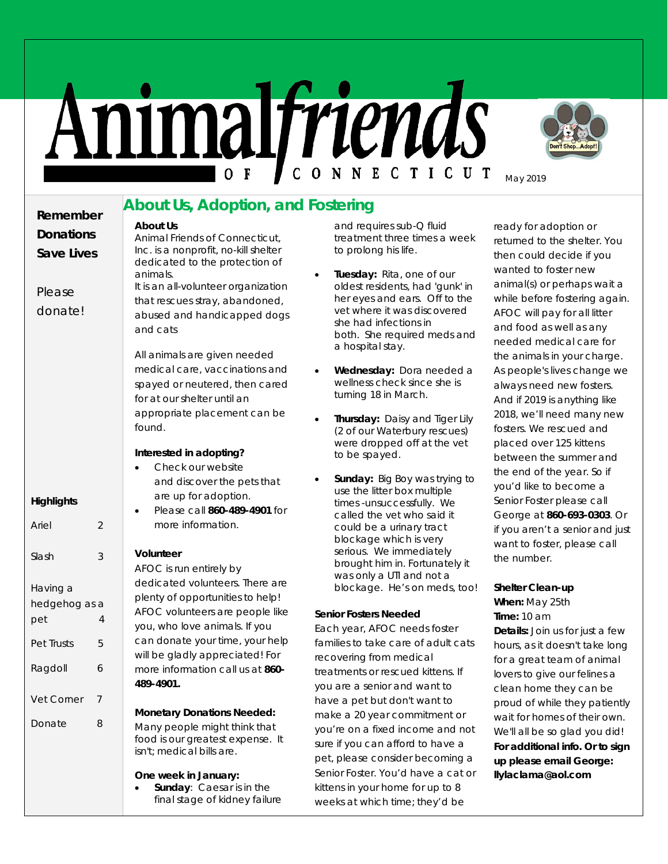# Animalfriends



May 2019

## **About Us, Adoption, and Fostering**

**Remember Donations Save Lives**

Please donate!

**Highlights**

Having a

Ariel 2

Slash 3

hedgehog as a pet 4

Pet Trusts 5

Ragdoll 6

Vet Corner 7

Donate 8

All animals are given needed medical care, vaccinations and spayed or neutered, then cared for at our shelter until an appropriate placement can be found.

Animal Friends of Connecticut, Inc. is a nonprofit, no-kill shelter dedicated to the protection of

It is an all-volunteer organization that rescues stray, abandoned, abused and handicapped dogs

#### **Interested in adopting?**

| Check our website            |  |  |  |  |
|------------------------------|--|--|--|--|
| and discover the pets that   |  |  |  |  |
| are up for adoption.         |  |  |  |  |
| Please call 860-489-4901 for |  |  |  |  |
| more information.            |  |  |  |  |

#### **Volunteer**

**About Us**

animals.

and cats

AFOC is run entirely by dedicated volunteers. There are plenty of opportunities to help! AFOC volunteers are people like you, who love animals. If you can donate your time, your help will be gladly appreciated! For more information call us at **860- 489-4901.**

#### **Monetary Donations Needed:**

Many people might think that food is our greatest expense. It isn't; medical bills are.

#### **One week in January:**

• **Sunday**: Caesar is in the final stage of kidney failure and requires sub-Q fluid treatment three times a week to prolong his life.

- **Tuesday:** Rita, one of our oldest residents, had 'gunk' in her eyes and ears. Off to the vet where it was discovered she had infections in both. She required meds and a hospital stay.
- **Wednesday:** Dora needed a wellness check since she is turning 18 in March.
- **Thursday:** Daisy and Tiger Lily (2 of our Waterbury rescues) were dropped off at the vet to be spayed.
- **Sunday:** Big Boy was trying to use the litter box multiple times -unsuccessfully. We called the vet who said it could be a urinary tract blockage which is very serious. We immediately brought him in. Fortunately it was only a UTI and not a blockage. He's on meds, too!

#### **Senior Fosters Needed**

Each year, AFOC needs foster families to take care of adult cats recovering from medical treatments or rescued kittens. If you are a senior and want to have a pet but don't want to make a 20 year commitment or you're on a fixed income and not sure if you can afford to have a pet, please consider becoming a Senior Foster. You'd have a cat or kittens in your home for up to 8 weeks at which time; they'd be

ready for adoption or returned to the shelter. You then could decide if you wanted to foster new animal(s) or perhaps wait a while before fostering again. AFOC will pay for all litter and food as well as any needed medical care for the animals in your charge. As people's lives change we always need new fosters. And if 2019 is anything like 2018, we'll need many new fosters. We rescued and placed over 125 kittens between the summer and the end of the year. So if you'd like to become a Senior Foster please call George at **860-693-0303**. Or if you aren't a senior and just want to foster, please call the number.

#### **Shelter Clean-up**

**When:** May 25th **Time:** 10 am **Details:** Join us for just a few hours, as it doesn't take long for a great team of animal lovers to give our felines a clean home they can be proud of while they patiently wait for homes of their own. We'll all be so glad you did! **For additional info. Or to sign up please email George: llylaclama@aol.com**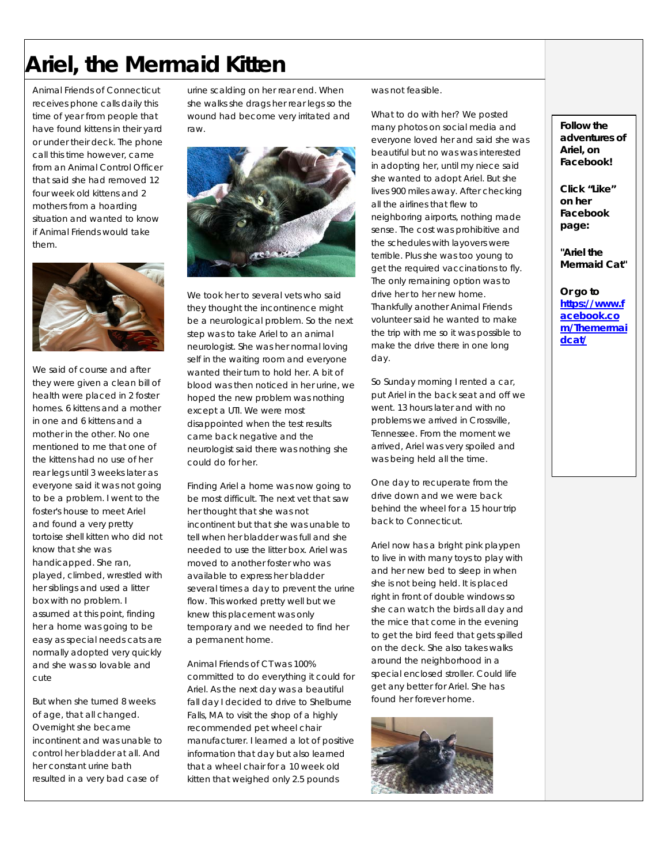# **Ariel, the Mermaid Kitten**

Animal Friends of Connecticut receives phone calls daily this time of year from people that have found kittens in their yard or under their deck. The phone call this time however, came from an Animal Control Officer that said she had removed 12 four week old kittens and 2 mothers from a hoarding situation and wanted to know if Animal Friends would take them.



We said of course and after they were given a clean bill of health were placed in 2 foster homes. 6 kittens and a mother in one and 6 kittens and a mother in the other. No one mentioned to me that one of the kittens had no use of her rear legs until 3 weeks later as everyone said it was not going to be a problem. I went to the foster's house to meet Ariel and found a very pretty tortoise shell kitten who did not know that she was handicapped. She ran, played, climbed, wrestled with her siblings and used a litter box with no problem. I assumed at this point, finding her a home was going to be easy as special needs cats are normally adopted very quickly and she was so lovable and cute

But when she turned 8 weeks of age, that all changed. Overnight she became incontinent and was unable to control her bladder at all. And her constant urine bath resulted in a very bad case of

urine scalding on her rear end. When she walks she drags her rear legs so the wound had become very irritated and raw.



We took her to several vets who said they thought the incontinence might be a neurological problem. So the next step was to take Ariel to an animal neurologist. She was her normal loving self in the waiting room and everyone wanted their turn to hold her. A bit of blood was then noticed in her urine, we hoped the new problem was nothing except a UTI. We were most disappointed when the test results came back negative and the neurologist said there was nothing she could do for her.

Finding Ariel a home was now going to be most difficult. The next vet that saw her thought that she was not incontinent but that she was unable to tell when her bladder was full and she needed to use the litter box. Ariel was moved to another foster who was available to express her bladder several times a day to prevent the urine flow. This worked pretty well but we knew this placement was only temporary and we needed to find her a permanent home.

Animal Friends of CT was 100% committed to do everything it could for Ariel. As the next day was a beautiful fall day I decided to drive to Shelburne Falls, MA to visit the shop of a highly recommended pet wheel chair manufacturer. I learned a lot of positive information that day but also learned that a wheel chair for a 10 week old kitten that weighed only 2.5 pounds

was not feasible.

What to do with her? We posted many photos on social media and everyone loved her and said she was beautiful but no was was interested in adopting her, until my niece said she wanted to adopt Ariel. But she lives 900 miles away. After checking all the airlines that flew to neighboring airports, nothing made sense. The cost was prohibitive and the schedules with layovers were terrible. Plus she was too young to get the required vaccinations to fly. The only remaining option was to drive her to her new home. Thankfully another Animal Friends volunteer said he wanted to make the trip with me so it was possible to make the drive there in one long day.

So Sunday morning I rented a car, put Ariel in the back seat and off we went. 13 hours later and with no problems we arrived in Crossville, Tennessee. From the moment we arrived, Ariel was very spoiled and was being held all the time.

One day to recuperate from the drive down and we were back behind the wheel for a 15 hour trip back to Connecticut.

Ariel now has a bright pink playpen to live in with many toys to play with and her new bed to sleep in when she is not being held. It is placed right in front of double windows so she can watch the birds all day and the mice that come in the evening to get the bird feed that gets spilled on the deck. She also takes walks around the neighborhood in a special enclosed stroller. Could life get any better for Ariel. She has found her forever home.



**Follow the adventures of Ariel, on Facebook!**

**Click "Like" on her Facebook page:**

**"Ariel the Mermaid Cat"** 

**Or go to [https://www.f](https://urldefense.proofpoint.com/v2/url?u=https-3A__www.facebook.com_Themermaidcat_&d=DwMFaQ&c=wluqKIiwffOpZ6k5sqMWMBOn0vyYnlulRJmmvOXCFpM&r=y5UvOR3HZujo0kSd-qc8VaiH0GLqgbsutf0M_ZbRZxs&m=974pi93uAPDoPNY7AqXawndmGu-97KUDMAYshvWWrbU&s=xW-X4sJxiQP0ZJW2QjV7s_Lz0LKx1dqF8DA-zpTANMo&e=) [acebook.co](https://urldefense.proofpoint.com/v2/url?u=https-3A__www.facebook.com_Themermaidcat_&d=DwMFaQ&c=wluqKIiwffOpZ6k5sqMWMBOn0vyYnlulRJmmvOXCFpM&r=y5UvOR3HZujo0kSd-qc8VaiH0GLqgbsutf0M_ZbRZxs&m=974pi93uAPDoPNY7AqXawndmGu-97KUDMAYshvWWrbU&s=xW-X4sJxiQP0ZJW2QjV7s_Lz0LKx1dqF8DA-zpTANMo&e=) [m/Themermai](https://urldefense.proofpoint.com/v2/url?u=https-3A__www.facebook.com_Themermaidcat_&d=DwMFaQ&c=wluqKIiwffOpZ6k5sqMWMBOn0vyYnlulRJmmvOXCFpM&r=y5UvOR3HZujo0kSd-qc8VaiH0GLqgbsutf0M_ZbRZxs&m=974pi93uAPDoPNY7AqXawndmGu-97KUDMAYshvWWrbU&s=xW-X4sJxiQP0ZJW2QjV7s_Lz0LKx1dqF8DA-zpTANMo&e=) [dcat/](https://urldefense.proofpoint.com/v2/url?u=https-3A__www.facebook.com_Themermaidcat_&d=DwMFaQ&c=wluqKIiwffOpZ6k5sqMWMBOn0vyYnlulRJmmvOXCFpM&r=y5UvOR3HZujo0kSd-qc8VaiH0GLqgbsutf0M_ZbRZxs&m=974pi93uAPDoPNY7AqXawndmGu-97KUDMAYshvWWrbU&s=xW-X4sJxiQP0ZJW2QjV7s_Lz0LKx1dqF8DA-zpTANMo&e=)**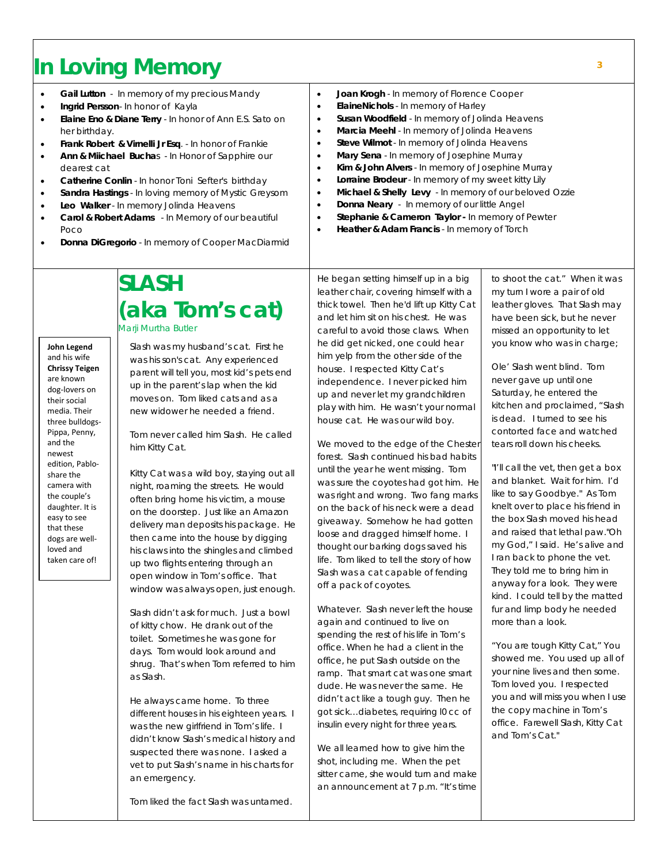# **<sup>3</sup> In Loving Memory**

- **Gail Lutton** In memory of my precious Mandy
- **Ingrid Persson** In honor of Kayla
- **Elaine Eno & Diane Terry** In honor of Ann E.S. Sato on her birthday.
- **Frank Robert & Virnelli Jr Esq**. In honor of Frankie
- **Ann & Miichael Bucha**s In Honor of Sapphire our dearest cat
- **Catherine Conlin**  In honor Toni Sefter's birthday
- **Sandra Hastings**  In loving memory of Mystic Greysom
- **Leo Walker**  In memory Jolinda Heavens

**John Legend** and his wife **Chrissy Teigen**  are known dog-lovers on their social media. Their three bulldogs-Pippa, Penny, and the newest edition, Pabloshare the camera with the couple's daughter. It is easy to see that these dogs are wellloved and taken care of!

- **Carol & Robert Adams** In Memory of our beautiful Poco
- **Donna DiGregorio** In memory of Cooper MacDiarmid
- **Joan Krogh** In memory of Florence Cooper
- **ElaineNichols**  In memory of Harley
- **Susan Woodfield**  In memory of Jolinda Heavens
- **Marcia Meehl** In memory of Jolinda Heavens
- **Steve Wilmot** In memory of Jolinda Heavens
- **Mary Sena** In memory of Josephine Murray
- **Kim & John Alvers** In memory of Josephine Murray
- **Lorraine Brodeur**  In memory of my sweet kitty Lily
- **Michael & Shelly Levy** In memory of our beloved Ozzie
- **Donna Neary** In memory of our little Angel
- **Stephanie & Cameron Taylor -** In memory of Pewter
- **Heather & Adam Francis**  In memory of Torch

**SLASH (aka Tom's cat)** Marji Murtha Butler

Slash was my husband's cat. First he was his son's cat. Any experienced parent will tell you, most kid's pets end up in the parent's lap when the kid moves on. Tom liked cats and as a new widower he needed a friend.

Tom never called him Slash. He called him Kitty Cat.

Kitty Cat was a wild boy, staying out all night, roaming the streets. He would often bring home his victim, a mouse on the doorstep. Just like an Amazon delivery man deposits his package. He then came into the house by digging his claws into the shingles and climbed up two flights entering through an open window in Tom's office. That window was always open, just enough.

Slash didn't ask for much. Just a bowl of kitty chow. He drank out of the toilet. Sometimes he was gone for days. Tom would look around and shrug. That's when Tom referred to him as Slash.

He always came home. To three different houses in his eighteen years. I was the new girlfriend in Tom's life. I didn't know Slash's medical history and suspected there was none. I asked a vet to put Slash's name in his charts for an emergency.

Tom liked the fact Slash was untamed.

He began setting himself up in a big leather chair, covering himself with a thick towel. Then he'd lift up Kitty Cat and let him sit on his chest. He was careful to avoid those claws. When he did get nicked, one could hear him yelp from the other side of the house. I respected Kitty Cat's independence. I never picked him up and never let my grandchildren play with him. He wasn't your normal house cat. He was our wild boy.

We moved to the edge of the Chester forest. Slash continued his bad habits until the year he went missing. Tom was sure the coyotes had got him. He was right and wrong. Two fang marks on the back of his neck were a dead giveaway. Somehow he had gotten loose and dragged himself home. I thought our barking dogs saved his life. Tom liked to tell the story of how Slash was a cat capable of fending off a pack of coyotes.

Whatever. Slash never left the house again and continued to live on spending the rest of his life in Tom's office. When he had a client in the office, he put Slash outside on the ramp. That smart cat was one smart dude. He was never the same. He didn't act like a tough guy. Then he got sick…diabetes, requiring l0 cc of insulin every night for three years.

We all learned how to give him the shot, including me. When the pet sitter came, she would turn and make an announcement at 7 p.m. "It's time to shoot the cat." When it was my turn I wore a pair of old leather gloves. That Slash may have been sick, but he never missed an opportunity to let you know who was in charge;

Ole' Slash went blind. Tom never gave up until one Saturday, he entered the kitchen and proclaimed, "Slash is dead. I turned to see his contorted face and watched tears roll down his cheeks.

"I'll call the vet, then get a box and blanket. Wait for him. I'd like to say Goodbye." As Tom knelt over to place his friend in the box Slash moved his head and raised that lethal paw."Oh my God," I said. He's alive and I ran back to phone the vet. They told me to bring him in anyway for a look. They were kind. I could tell by the matted fur and limp body he needed more than a look.

"You are tough Kitty Cat," You showed me. You used up all of your nine lives and then some. Tom loved you. I respected you and will miss you when I use the copy machine in Tom's office. Farewell Slash, Kitty Cat and Tom's Cat."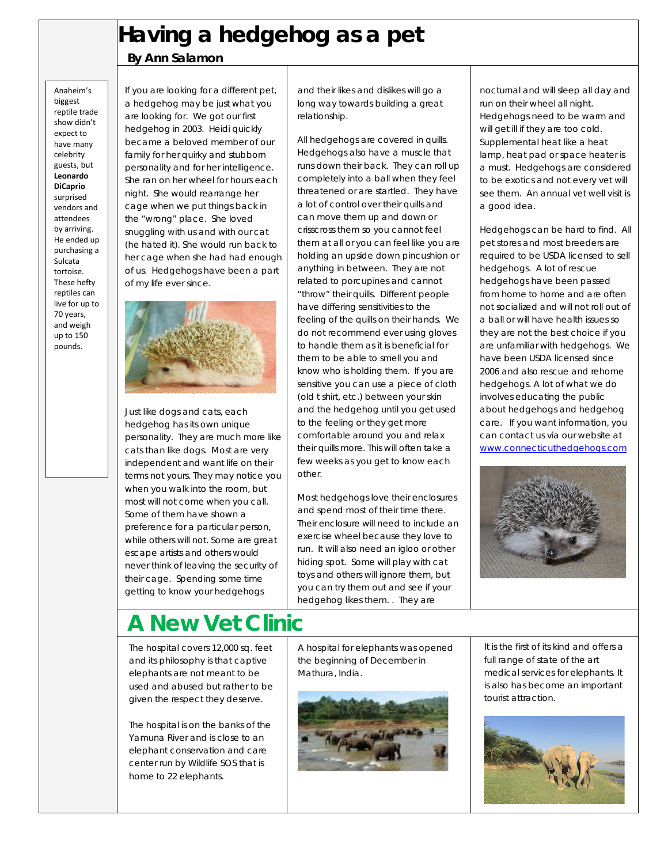## **Having a hedgehog as a pet**

## **By Ann Salamon**

Anaheim's biggest reptile trade show didn't expect to have many celebrity guests, but **Leonardo DiCaprio** surprised vendors and attendees by arriving. He ended up purchasing a Sulcata tortoise. These hefty reptiles can live for up to 70 years, and weigh up to 150 pounds.

If you are looking for a different pet, a hedgehog may be just what you are looking for. We got our first hedgehog in 2003. Heidi quickly became a beloved member of our family for her quirky and stubborn personality and for her intelligence. She ran on her wheel for hours each night. She would rearrange her cage when we put things back in the "wrong" place. She loved snuggling with us and with our cat (he hated it). She would run back to her cage when she had had enough of us. Hedgehogs have been a part of my life ever since.



Just like dogs and cats, each hedgehog has its own unique personality. They are much more like cats than like dogs. Most are very independent and want life on their terms not yours. They may notice you when you walk into the room, but most will not come when you call. Some of them have shown a preference for a particular person, while others will not. Some are great escape artists and others would never think of leaving the security of their cage. Spending some time getting to know your hedgehogs

#### and their likes and dislikes will go a long way towards building a great relationship.

All hedgehogs are covered in quills. Hedgehogs also have a muscle that runs down their back. They can roll up completely into a ball when they feel threatened or are startled. They have a lot of control over their quills and can move them up and down or crisscross them so you cannot feel them at all or you can feel like you are holding an upside down pincushion or anything in between. They are not related to porcupines and cannot "throw" their quills. Different people have differing sensitivities to the feeling of the quills on their hands. We do not recommend ever using gloves to handle them as it is beneficial for them to be able to smell you and know who is holding them. If you are sensitive you can use a piece of cloth (old t shirt, etc.) between your skin and the hedgehog until you get used to the feeling or they get more comfortable around you and relax their quills more. This will often take a few weeks as you get to know each other.

Most hedgehogs love their enclosures and spend most of their time there. Their enclosure will need to include an exercise wheel because they love to run. It will also need an igloo or other hiding spot. Some will play with cat toys and others will ignore them, but you can try them out and see if your hedgehog likes them. . They are

nocturnal and will sleep all day and run on their wheel all night. Hedgehogs need to be warm and will get ill if they are too cold. Supplemental heat like a heat lamp, heat pad or space heater is a must. Hedgehogs are considered to be exotics and not every vet will see them. An annual vet well visit is a good idea.

Hedgehogs can be hard to find. All pet stores and most breeders are required to be USDA licensed to sell hedgehogs. A lot of rescue hedgehogs have been passed from home to home and are often not socialized and will not roll out of a ball or will have health issues so they are not the best choice if you are unfamiliar with hedgehogs. We have been USDA licensed since 2006 and also rescue and rehome hedgehogs. A lot of what we do involves educating the public about hedgehogs and hedgehog care. If you want information, you can contact us via our website at [www.connecticuthedgehogs.com](http://www.connecticuthedgehogs.com/)



# **A New Vet Clinic**

The hospital covers 12,000 sq. feet and its philosophy is that captive elephants are not meant to be used and abused but rather to be given the respect they deserve.

The hospital is on the banks of the Yamuna River and is close to an elephant conservation and care center run by Wildlife SOS that is home to 22 elephants.

A hospital for elephants was opened the beginning of December in Mathura, India.



It is the first of its kind and offers a full range of state of the art medical services for elephants. It is also has become an important tourist attraction.

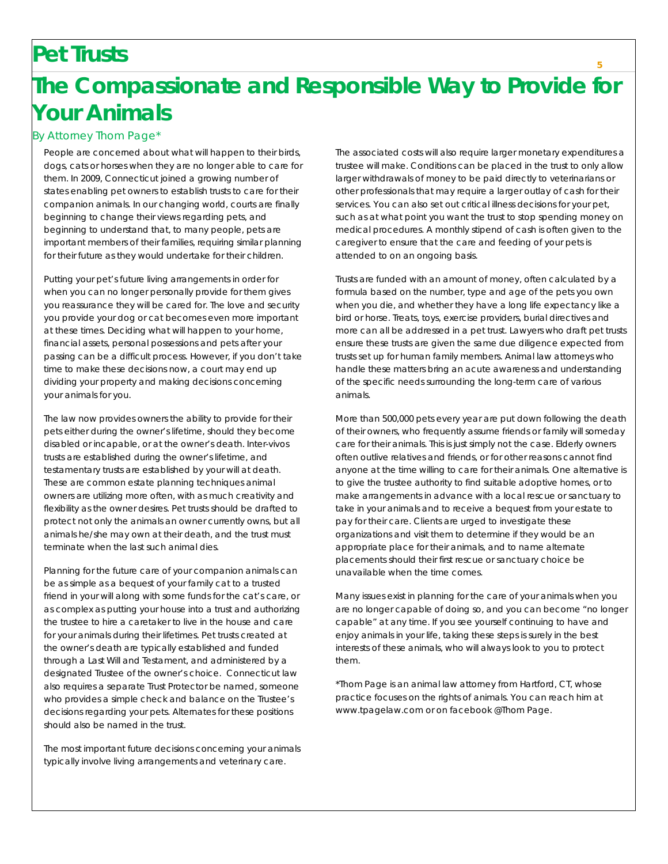## **Pet Trusts**

# **The Compassionate and Responsible Way to Provide for Your Animals**

#### By Attorney Thom Page\*

People are concerned about what will happen to their birds, dogs, cats or horses when they are no longer able to care for them. In 2009, Connecticut joined a growing number of states enabling pet owners to establish trusts to care for their companion animals. In our changing world, courts are finally beginning to change their views regarding pets, and beginning to understand that, to many people, pets are important members of their families, requiring similar planning for their future as they would undertake for their children.

Putting your pet's future living arrangements in order for when you can no longer personally provide for them gives you reassurance they will be cared for. The love and security you provide your dog or cat becomes even more important at these times. Deciding what will happen to your home, financial assets, personal possessions and pets after your passing can be a difficult process. However, if you don't take time to make these decisions now, a court may end up dividing your property and making decisions concerning your animals for you.

The law now provides owners the ability to provide for their pets either during the owner's lifetime, should they become disabled or incapable, or at the owner's death. Inter-vivos trusts are established during the owner's lifetime, and testamentary trusts are established by your will at death. These are common estate planning techniques animal owners are utilizing more often, with as much creativity and flexibility as the owner desires. Pet trusts should be drafted to protect not only the animals an owner currently owns, but all animals he/she may own at their death, and the trust must terminate when the last such animal dies.

Planning for the future care of your companion animals can be as simple as a bequest of your family cat to a trusted friend in your will along with some funds for the cat's care, or as complex as putting your house into a trust and authorizing the trustee to hire a caretaker to live in the house and care for your animals during their lifetimes. Pet trusts created at the owner's death are typically established and funded through a Last Will and Testament, and administered by a designated Trustee of the owner's choice. Connecticut law also requires a separate Trust Protector be named, someone who provides a simple check and balance on the Trustee's decisions regarding your pets. Alternates for these positions should also be named in the trust.

The most important future decisions concerning your animals typically involve living arrangements and veterinary care.

The associated costs will also require larger monetary expenditures a trustee will make. Conditions can be placed in the trust to only allow larger withdrawals of money to be paid directly to veterinarians or other professionals that may require a larger outlay of cash for their services. You can also set out critical illness decisions for your pet, such as at what point you want the trust to stop spending money on medical procedures. A monthly stipend of cash is often given to the caregiver to ensure that the care and feeding of your pets is attended to on an ongoing basis.

Trusts are funded with an amount of money, often calculated by a formula based on the number, type and age of the pets you own when you die, and whether they have a long life expectancy like a bird or horse. Treats, toys, exercise providers, burial directives and more can all be addressed in a pet trust. Lawyers who draft pet trusts ensure these trusts are given the same due diligence expected from trusts set up for human family members. Animal law attorneys who handle these matters bring an acute awareness and understanding of the specific needs surrounding the long-term care of various animals.

More than 500,000 pets every year are put down following the death of their owners, who frequently assume friends or family will someday care for their animals. This is just simply not the case. Elderly owners often outlive relatives and friends, or for other reasons cannot find anyone at the time willing to care for their animals. One alternative is to give the trustee authority to find suitable adoptive homes, or to make arrangements in advance with a local rescue or sanctuary to take in your animals and to receive a bequest from your estate to pay for their care. Clients are urged to investigate these organizations and visit them to determine if they would be an appropriate place for their animals, and to name alternate placements should their first rescue or sanctuary choice be unavailable when the time comes.

Many issues exist in planning for the care of your animals when you are no longer capable of doing so, and you can become "no longer capable" at any time. If you see yourself continuing to have and enjoy animals in your life, taking these steps is surely in the best interests of these animals, who will always look to you to protect them.

\*Thom Page is an animal law attorney from Hartford, CT, whose practice focuses on the rights of animals. You can reach him at www.tpagelaw.com or on facebook @Thom Page.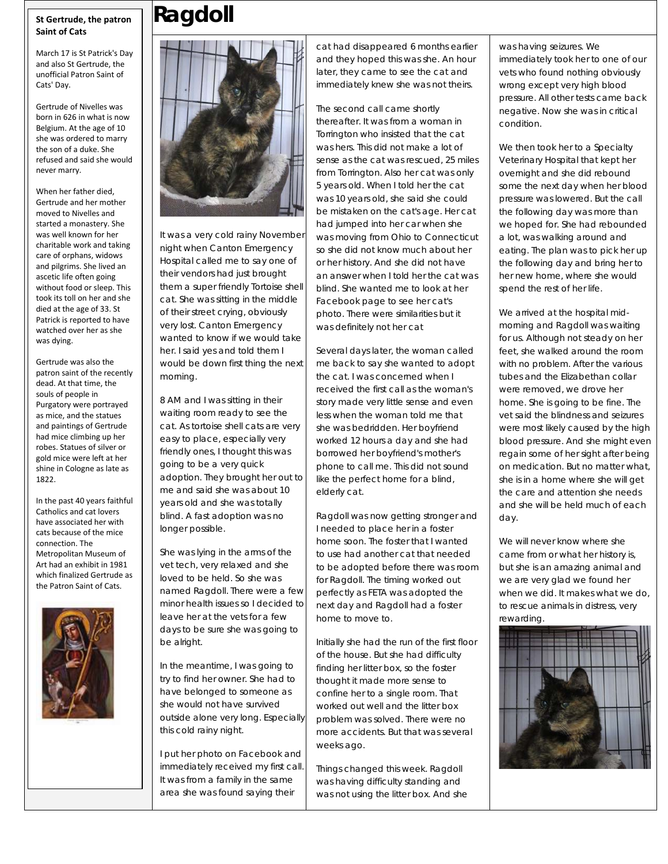#### **St Gertrude, the patron Saint of Cats**

March 17 is St Patrick's Day and also St Gertrude, the unofficial Patron Saint of Cats' Day.

Gertrude of Nivelles was born in 626 in what is now Belgium. At the age of 10 she was ordered to marry the son of a duke. She refused and said she would never marry.

When her father died, Gertrude and her mother moved to Nivelles and started a monastery. She was well known for her charitable work and taking care of orphans, widows and pilgrims. She lived an ascetic life often going without food or sleep. This took its toll on her and she died at the age of 33. St Patrick is reported to have watched over her as she was dying.

Gertrude was also the patron saint of the recently dead. At that time, the souls of people in Purgatory were portrayed as mice, and the statues and paintings of Gertrude had mice climbing up her robes. Statues of silver or gold mice were left at her shine in Cologne as late as 1822.

In the past 40 years faithful Catholics and cat lovers have associated her with cats because of the mice connection. The Metropolitan Museum of Art had an exhibit in 1981 which finalized Gertrude as the Patron Saint of Cats.



# **Ragdoll**



It was a very cold rainy November night when Canton Emergency Hospital called me to say one of their vendors had just brought them a super friendly Tortoise shell cat. She was sitting in the middle of their street crying, obviously very lost. Canton Emergency wanted to know if we would take her. I said yes and told them I would be down first thing the next morning.

8 AM and I was sitting in their waiting room ready to see the cat. As tortoise shell cats are very easy to place, especially very friendly ones, I thought this was going to be a very quick adoption. They brought her out to me and said she was about 10 years old and she was totally blind. A fast adoption was no longer possible.

She was lying in the arms of the vet tech, very relaxed and she loved to be held. So she was named Ragdoll. There were a few minor health issues so I decided to leave her at the vets for a few days to be sure she was going to be alright.

In the meantime, I was going to try to find her owner. She had to have belonged to someone as she would not have survived outside alone very long. Especially this cold rainy night.

I put her photo on Facebook and immediately received my first call. It was from a family in the same area she was found saying their

cat had disappeared 6 months earlier and they hoped this was she. An hour later, they came to see the cat and immediately knew she was not theirs.

The second call came shortly thereafter. It was from a woman in Torrington who insisted that the cat was hers. This did not make a lot of sense as the cat was rescued, 25 miles from Torrington. Also her cat was only 5 years old. When I told her the cat was 10 years old, she said she could be mistaken on the cat's age. Her cat had jumped into her car when she was moving from Ohio to Connecticut so she did not know much about her or her history. And she did not have an answer when I told her the cat was blind. She wanted me to look at her Facebook page to see her cat's photo. There were similarities but it was definitely not her cat

Several days later, the woman called me back to say she wanted to adopt the cat. I was concerned when I received the first call as the woman's story made very little sense and even less when the woman told me that she was bedridden. Her boyfriend worked 12 hours a day and she had borrowed her boyfriend's mother's phone to call me. This did not sound like the perfect home for a blind, elderly cat.

Ragdoll was now getting stronger and I needed to place her in a foster home soon. The foster that I wanted to use had another cat that needed to be adopted before there was room for Ragdoll. The timing worked out perfectly as FETA was adopted the next day and Ragdoll had a foster home to move to.

Initially she had the run of the first floor of the house. But she had difficulty finding her litter box, so the foster thought it made more sense to confine her to a single room. That worked out well and the litter box problem was solved. There were no more accidents. But that was several weeks ago.

Things changed this week. Ragdoll was having difficulty standing and was not using the litter box. And she was having seizures. We immediately took her to one of our vets who found nothing obviously wrong except very high blood pressure. All other tests came back negative. Now she was in critical condition.

We then took her to a Specialty Veterinary Hospital that kept her overnight and she did rebound some the next day when her blood pressure was lowered. But the call the following day was more than we hoped for. She had rebounded a lot, was walking around and eating. The plan was to pick her up the following day and bring her to her new home, where she would spend the rest of her life.

We arrived at the hospital midmorning and Ragdoll was waiting for us. Although not steady on her feet, she walked around the room with no problem. After the various tubes and the Elizabethan collar were removed, we drove her home. She is going to be fine. The vet said the blindness and seizures were most likely caused by the high blood pressure. And she might even regain some of her sight after being on medication. But no matter what, she is in a home where she will get the care and attention she needs and she will be held much of each day.

We will never know where she came from or what her history is, but she is an amazing animal and we are very glad we found her when we did. It makes what we do, to rescue animals in distress, very rewarding.

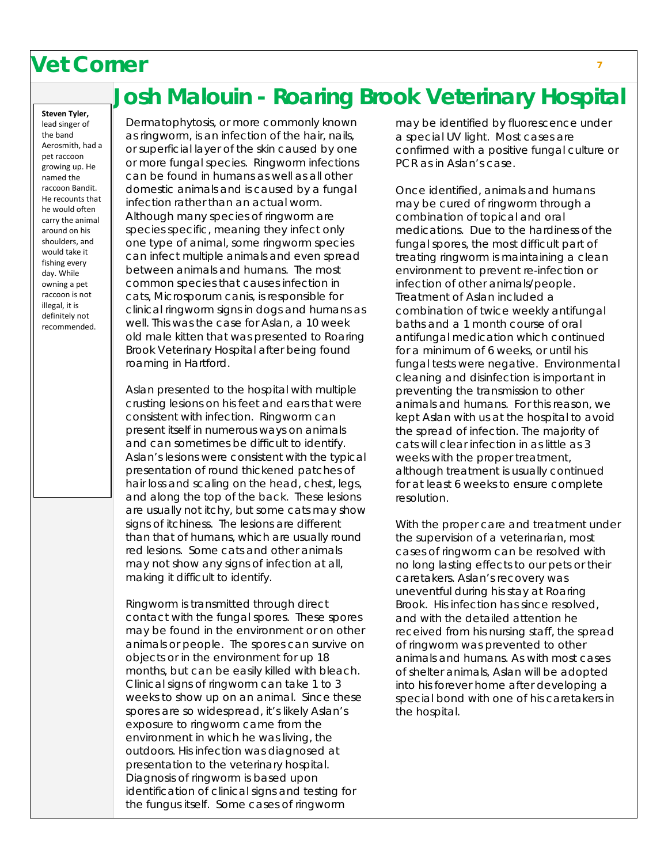## **Vet Corner <sup>7</sup>**

## **Josh Malouin - Roaring Brook Veterinary Hospital**

**Steven Tyler,** lead singer of the band Aerosmith, had a pet raccoon growing up. He named the raccoon Bandit. He recounts that he would often carry the animal around on his shoulders, and would take it fishing every day. While owning a pet raccoon is not illegal, it is definitely not recommended.

Dermatophytosis, or more commonly known as ringworm, is an infection of the hair, nails, or superficial layer of the skin caused by one or more fungal species. Ringworm infections can be found in humans as well as all other domestic animals and is caused by a fungal infection rather than an actual worm. Although many species of ringworm are species specific, meaning they infect only one type of animal, some ringworm species can infect multiple animals and even spread between animals and humans. The most common species that causes infection in cats, Microsporum canis, is responsible for clinical ringworm signs in dogs and humans as well. This was the case for Aslan, a 10 week old male kitten that was presented to Roaring Brook Veterinary Hospital after being found roaming in Hartford.

Aslan presented to the hospital with multiple crusting lesions on his feet and ears that were consistent with infection. Ringworm can present itself in numerous ways on animals and can sometimes be difficult to identify. Aslan's lesions were consistent with the typical presentation of round thickened patches of hair loss and scaling on the head, chest, legs, and along the top of the back. These lesions are usually not itchy, but some cats may show signs of itchiness. The lesions are different than that of humans, which are usually round red lesions. Some cats and other animals may not show any signs of infection at all, making it difficult to identify.

Ringworm is transmitted through direct contact with the fungal spores. These spores may be found in the environment or on other animals or people. The spores can survive on objects or in the environment for up 18 months, but can be easily killed with bleach. Clinical signs of ringworm can take 1 to 3 weeks to show up on an animal. Since these spores are so widespread, it's likely Aslan's exposure to ringworm came from the environment in which he was living, the outdoors. His infection was diagnosed at presentation to the veterinary hospital. Diagnosis of ringworm is based upon identification of clinical signs and testing for the fungus itself. Some cases of ringworm

may be identified by fluorescence under a special UV light. Most cases are confirmed with a positive fungal culture or PCR as in Aslan's case.

Once identified, animals and humans may be cured of ringworm through a combination of topical and oral medications. Due to the hardiness of the fungal spores, the most difficult part of treating ringworm is maintaining a clean environment to prevent re-infection or infection of other animals/people. Treatment of Aslan included a combination of twice weekly antifungal baths and a 1 month course of oral antifungal medication which continued for a minimum of 6 weeks, or until his fungal tests were negative. Environmental cleaning and disinfection is important in preventing the transmission to other animals and humans. For this reason, we kept Aslan with us at the hospital to avoid the spread of infection. The majority of cats will clear infection in as little as 3 weeks with the proper treatment, although treatment is usually continued for at least 6 weeks to ensure complete resolution.

With the proper care and treatment under the supervision of a veterinarian, most cases of ringworm can be resolved with no long lasting effects to our pets or their caretakers. Aslan's recovery was uneventful during his stay at Roaring Brook. His infection has since resolved, and with the detailed attention he received from his nursing staff, the spread of ringworm was prevented to other animals and humans. As with most cases of shelter animals, Aslan will be adopted into his forever home after developing a special bond with one of his caretakers in the hospital.